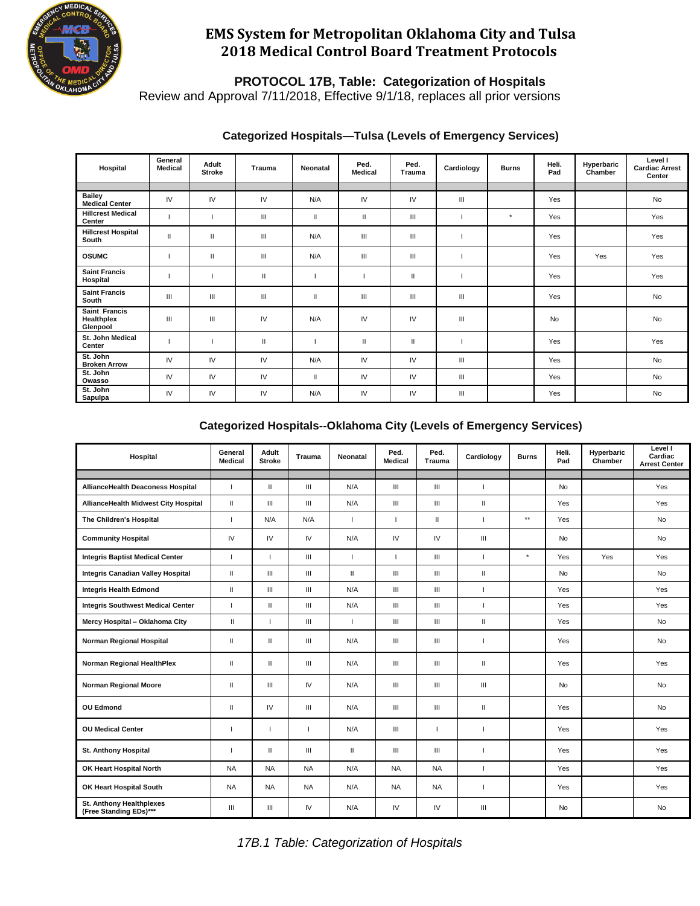

### **EMS System for Metropolitan Oklahoma City and Tulsa 2018 Medical Control Board Treatment Protocols**

 **PROTOCOL 17B, Table: Categorization of Hospitals**

Review and Approval 7/11/2018, Effective 9/1/18, replaces all prior versions

| Hospital                                | General<br><b>Medical</b> | Adult<br><b>Stroke</b> | Trauma       | Neonatal | Ped.<br><b>Medical</b> | Ped.<br><b>Trauma</b> | Cardiology | <b>Burns</b> | Heli.<br>Pad | Hyperbaric<br>Chamber | Level I<br><b>Cardiac Arrest</b><br>Center |
|-----------------------------------------|---------------------------|------------------------|--------------|----------|------------------------|-----------------------|------------|--------------|--------------|-----------------------|--------------------------------------------|
|                                         |                           |                        |              |          |                        |                       |            |              |              |                       |                                            |
| <b>Bailey</b><br><b>Medical Center</b>  | IV                        | IV                     | IV           | N/A      | IV                     | IV                    | Ш          |              | Yes          |                       | <b>No</b>                                  |
| <b>Hillcrest Medical</b><br>Center      |                           |                        | Ш            | Ш        | Ш                      | Ш                     |            | $\star$      | Yes          |                       | Yes                                        |
| <b>Hillcrest Hospital</b><br>South      | $\mathbf{H}$              | $\mathbf{H}$           | Ш            | N/A      | Ш                      | Ш                     |            |              | Yes          |                       | Yes                                        |
| <b>OSUMC</b>                            |                           | $\mathbf{H}$           | Ш            | N/A      | Ш                      | Ш                     |            |              | Yes          | Yes                   | Yes                                        |
| <b>Saint Francis</b><br>Hospital        |                           |                        | $\mathbf{I}$ |          |                        | п                     |            |              | Yes          |                       | Yes                                        |
| <b>Saint Francis</b><br>South           | Ш                         | Ш                      | Ш            | Ш        | Ш                      | Ш                     | Ш          |              | Yes          |                       | <b>No</b>                                  |
| Saint Francis<br>Healthplex<br>Glenpool | Ш                         | Ш                      | IV           | N/A      | IV                     | IV                    | Ш          |              | <b>No</b>    |                       | <b>No</b>                                  |
| St. John Medical<br>Center              |                           |                        | $\mathbf{I}$ |          | Ш                      | Ш                     |            |              | Yes          |                       | Yes                                        |
| St. John<br><b>Broken Arrow</b>         | IV                        | IV                     | IV           | N/A      | IV                     | IV                    | Ш          |              | Yes          |                       | <b>No</b>                                  |
| St. John<br>Owasso                      | IV                        | IV                     | IV           | Ш        | IV                     | IV                    | Ш          |              | <b>Yes</b>   |                       | <b>No</b>                                  |
| St. John<br>Sapulpa                     | IV                        | IV                     | IV           | N/A      | IV                     | IV                    | Ш          |              | Yes          |                       | No                                         |

### **Categorized Hospitals--Oklahoma City (Levels of Emergency Services)**

| Hospital                                           | General<br><b>Medical</b> | Adult<br><b>Stroke</b> | <b>Trauma</b>  | Neonatal     | Ped.<br><b>Medical</b>             | Ped.<br>Trauma     | Cardiology               | <b>Burns</b>    | Heli.<br>Pad | Hyperbaric<br>Chamber | Level I<br>Cardiac<br><b>Arrest Center</b> |
|----------------------------------------------------|---------------------------|------------------------|----------------|--------------|------------------------------------|--------------------|--------------------------|-----------------|--------------|-----------------------|--------------------------------------------|
|                                                    |                           |                        |                |              |                                    |                    |                          |                 |              |                       |                                            |
| AllianceHealth Deaconess Hospital                  | $\mathbf{I}$              | $\mathbf{H}$           | III            | N/A          | III                                | Ш                  | $\mathbf{I}$             |                 | <b>No</b>    |                       | Yes                                        |
| AllianceHealth Midwest City Hospital               | $\mathbf{H}$              | $\mathbf{III}$         | III            | N/A          | III                                | III                | $\mathbf{H}$             |                 | <b>Yes</b>   |                       | Yes                                        |
| The Children's Hospital                            | т                         | N/A                    | N/A            | $\mathbf{I}$ | ×.                                 | Ш                  | п                        | $^{\star\star}$ | Yes          |                       | <b>No</b>                                  |
| <b>Community Hospital</b>                          | IV                        | IV                     | IV             | N/A          | IV                                 | IV.                | $\mathbf{III}$           |                 | <b>No</b>    |                       | <b>No</b>                                  |
| <b>Integris Baptist Medical Center</b>             | $\mathbf{I}$              | -1                     | III            | $\mathbf{I}$ | т                                  | III                | $\mathbf{I}$             | $\star$         | <b>Yes</b>   | Yes                   | Yes                                        |
| Integris Canadian Valley Hospital                  | $\mathbf{H}$              | Ш                      | III            | $\mathbf{H}$ | Ш                                  | III                | $\mathbf{H}$             |                 | <b>No</b>    |                       | No                                         |
| <b>Integris Health Edmond</b>                      | $\mathbf{H}$              | Ш                      | Ш              | N/A          | $\ensuremath{\mathsf{III}}\xspace$ | $\mathsf{III}$     | $\overline{1}$           |                 | Yes          |                       | Yes                                        |
| <b>Integris Southwest Medical Center</b>           | $\mathbf{L}$              | $\mathbf{II}$          | $\mathbf{III}$ | N/A          | Ш                                  | III                | $\overline{\phantom{a}}$ |                 | Yes          |                       | Yes                                        |
| Mercy Hospital - Oklahoma City                     | $\mathbf{H}$              | $\mathbf{I}$           | $\mathbf{III}$ | $\mathbf{I}$ | Ш                                  | $\mathop{\rm III}$ | $\mathbf{H}$             |                 | Yes          |                       | <b>No</b>                                  |
| Norman Regional Hospital                           | Ш                         | $\mathbf{H}$           | $\mathbf{III}$ | N/A          | Ш                                  | Ш                  |                          |                 | Yes          |                       | No                                         |
| Norman Regional HealthPlex                         | Ш                         | $\mathbf{II}$          | III            | N/A          | Ш                                  | Ш                  | $\mathbf{I}$             |                 | Yes          |                       | Yes                                        |
| Norman Regional Moore                              | Ш                         | Ш                      | IV             | N/A          | Ш                                  | Ш                  | $\mathbf{m}$             |                 | No           |                       | No                                         |
| <b>OU Edmond</b>                                   | Ш                         | IV                     | III            | N/A          | Ш                                  | Ш                  | $\mathbf{H}$             |                 | Yes          |                       | <b>No</b>                                  |
| <b>OU Medical Center</b>                           |                           |                        |                | N/A          | Ш                                  |                    |                          |                 | Yes          |                       | Yes                                        |
| St. Anthony Hospital                               | п                         | $\mathbf{H}$           | $\mathbf{III}$ | $\mathbf{H}$ | III                                | Ш                  | -1                       |                 | Yes          |                       | Yes                                        |
| OK Heart Hospital North                            | <b>NA</b>                 | <b>NA</b>              | <b>NA</b>      | N/A          | <b>NA</b>                          | <b>NA</b>          | $\mathbf{I}$             |                 | Yes          |                       | Yes                                        |
| OK Heart Hospital South                            | <b>NA</b>                 | <b>NA</b>              | <b>NA</b>      | N/A          | <b>NA</b>                          | <b>NA</b>          |                          |                 | Yes          |                       | Yes                                        |
| St. Anthony Healthplexes<br>(Free Standing EDs)*** | III                       | Ш                      | IV             | N/A          | IV                                 | IV                 | Ш                        |                 | No           |                       | No                                         |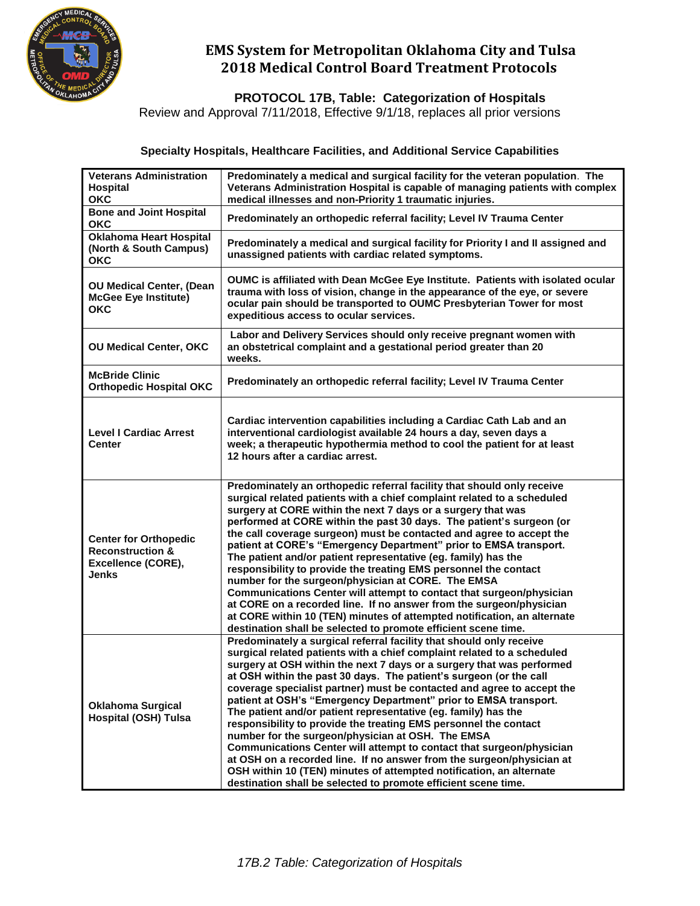

# **EMS System for Metropolitan Oklahoma City and Tulsa 2018 Medical Control Board Treatment Protocols**

 **PROTOCOL 17B, Table: Categorization of Hospitals**

Review and Approval 7/11/2018, Effective 9/1/18, replaces all prior versions

#### **Specialty Hospitals, Healthcare Facilities, and Additional Service Capabilities**

| <b>Veterans Administration</b><br><b>Hospital</b><br><b>OKC</b>                                   | Predominately a medical and surgical facility for the veteran population. The<br>Veterans Administration Hospital is capable of managing patients with complex<br>medical illnesses and non-Priority 1 traumatic injuries.                                                                                                                                                                                                                                                                                                                                                                                                                                                                                                                                                                                                                                                                                                       |
|---------------------------------------------------------------------------------------------------|----------------------------------------------------------------------------------------------------------------------------------------------------------------------------------------------------------------------------------------------------------------------------------------------------------------------------------------------------------------------------------------------------------------------------------------------------------------------------------------------------------------------------------------------------------------------------------------------------------------------------------------------------------------------------------------------------------------------------------------------------------------------------------------------------------------------------------------------------------------------------------------------------------------------------------|
| <b>Bone and Joint Hospital</b><br><b>OKC</b>                                                      | Predominately an orthopedic referral facility; Level IV Trauma Center                                                                                                                                                                                                                                                                                                                                                                                                                                                                                                                                                                                                                                                                                                                                                                                                                                                            |
| <b>Oklahoma Heart Hospital</b><br>(North & South Campus)<br><b>OKC</b>                            | Predominately a medical and surgical facility for Priority I and II assigned and<br>unassigned patients with cardiac related symptoms.                                                                                                                                                                                                                                                                                                                                                                                                                                                                                                                                                                                                                                                                                                                                                                                           |
| OU Medical Center, (Dean<br><b>McGee Eye Institute)</b><br><b>OKC</b>                             | OUMC is affiliated with Dean McGee Eye Institute. Patients with isolated ocular<br>trauma with loss of vision, change in the appearance of the eye, or severe<br>ocular pain should be transported to OUMC Presbyterian Tower for most<br>expeditious access to ocular services.                                                                                                                                                                                                                                                                                                                                                                                                                                                                                                                                                                                                                                                 |
| <b>OU Medical Center, OKC</b>                                                                     | Labor and Delivery Services should only receive pregnant women with<br>an obstetrical complaint and a gestational period greater than 20<br>weeks.                                                                                                                                                                                                                                                                                                                                                                                                                                                                                                                                                                                                                                                                                                                                                                               |
| <b>McBride Clinic</b><br><b>Orthopedic Hospital OKC</b>                                           | Predominately an orthopedic referral facility; Level IV Trauma Center                                                                                                                                                                                                                                                                                                                                                                                                                                                                                                                                                                                                                                                                                                                                                                                                                                                            |
| <b>Level I Cardiac Arrest</b><br>Center                                                           | Cardiac intervention capabilities including a Cardiac Cath Lab and an<br>interventional cardiologist available 24 hours a day, seven days a<br>week; a therapeutic hypothermia method to cool the patient for at least<br>12 hours after a cardiac arrest.                                                                                                                                                                                                                                                                                                                                                                                                                                                                                                                                                                                                                                                                       |
| <b>Center for Orthopedic</b><br><b>Reconstruction &amp;</b><br>Excellence (CORE),<br><b>Jenks</b> | Predominately an orthopedic referral facility that should only receive<br>surgical related patients with a chief complaint related to a scheduled<br>surgery at CORE within the next 7 days or a surgery that was<br>performed at CORE within the past 30 days. The patient's surgeon (or<br>the call coverage surgeon) must be contacted and agree to accept the<br>patient at CORE's "Emergency Department" prior to EMSA transport.<br>The patient and/or patient representative (eg. family) has the<br>responsibility to provide the treating EMS personnel the contact<br>number for the surgeon/physician at CORE. The EMSA<br>Communications Center will attempt to contact that surgeon/physician<br>at CORE on a recorded line. If no answer from the surgeon/physician<br>at CORE within 10 (TEN) minutes of attempted notification, an alternate<br>destination shall be selected to promote efficient scene time.   |
| <b>Oklahoma Surgical</b><br><b>Hospital (OSH) Tulsa</b>                                           | Predominately a surgical referral facility that should only receive<br>surgical related patients with a chief complaint related to a scheduled<br>surgery at OSH within the next 7 days or a surgery that was performed<br>at OSH within the past 30 days. The patient's surgeon (or the call<br>coverage specialist partner) must be contacted and agree to accept the<br>patient at OSH's "Emergency Department" prior to EMSA transport.<br>The patient and/or patient representative (eg. family) has the<br>responsibility to provide the treating EMS personnel the contact<br>number for the surgeon/physician at OSH. The EMSA<br>Communications Center will attempt to contact that surgeon/physician<br>at OSH on a recorded line. If no answer from the surgeon/physician at<br>OSH within 10 (TEN) minutes of attempted notification, an alternate<br>destination shall be selected to promote efficient scene time. |